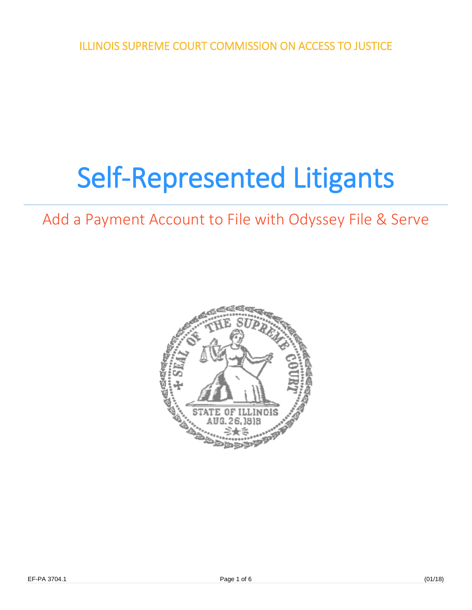ILLINOIS SUPREME COURT COMMISSION ON ACCESS TO JUSTICE

# Self-Represented Litigants

# Add a Payment Account to File with Odyssey File & Serve

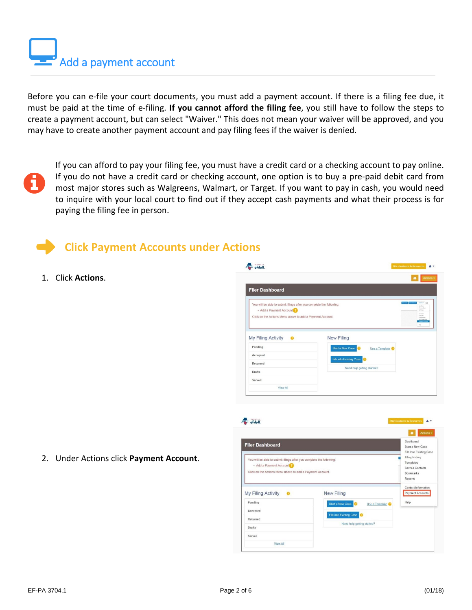Add a payment account

Before you can e-file your court documents, you must add a payment account. If there is a filing fee due, it must be paid at the time of e-filing. **If you cannot afford the filing fee**, you still have to follow the steps to create a payment account, but can select "Waiver." This does not mean your waiver will be approved, and you may have to create another payment account and pay filing fees if the waiver is denied.

If you can afford to pay your filing fee, you must have a credit card or a checking account to pay online. If you do not have a credit card or checking account, one option is to buy a pre-paid debit card from most major stores such as Walgreens, Walmart, or Target. If you want to pay in cash, you would need to inquire with your local court to find out if they accept cash payments and what their process is for paying the filing fee in person.

### **Click Payment Accounts under Actions**

1. Click **Actions**.

|                                                                                                 |                                    | Actions -<br>×                                                                      |
|-------------------------------------------------------------------------------------------------|------------------------------------|-------------------------------------------------------------------------------------|
| <b>Filer Dashboard</b>                                                                          |                                    |                                                                                     |
| You will be able to submit filings after you complete the following:<br>• Add a Payment Account |                                    | $h$ Nords = $\Box$<br><b>New York</b><br><b>Farming</b><br><b>Ky Floop</b>          |
| Click on the Actions Menu above to add a Payment Account.                                       |                                    | Freidat<br>Emission<br>Eyes Alberta<br>Edit Contactions<br><b>Family No</b><br>nes- |
| My Filing Activity                                                                              | <b>New Filing</b>                  |                                                                                     |
| Pending<br>Accepted                                                                             | Start a New Case<br>Use a Template |                                                                                     |
| Returned                                                                                        | File into Existing Case<br>Q       |                                                                                     |
| Drafts                                                                                          | Need help getting started?         |                                                                                     |



2. Under Actions click **Payment Account**.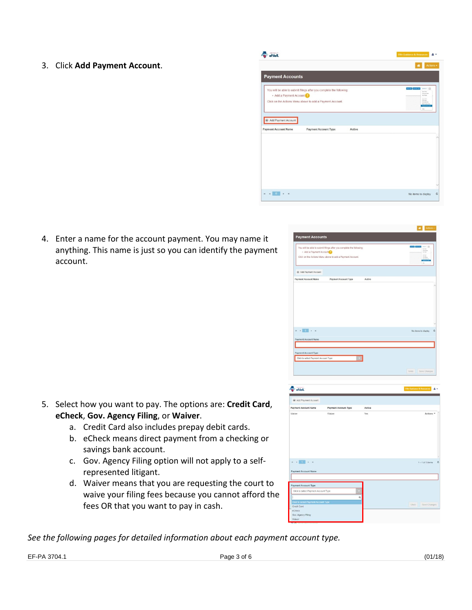3. Click **Add Payment Account**.



nt Acc You will be able to submit filings after you co<br>Add a Payment Account

(2) Add Payment Account

 $\mathbf{H} = \mathbf{A} \begin{bmatrix} 1 & 0 \\ 0 & 1 \end{bmatrix} \mathbf{A} \mathbf{A}$ 

4. Enter a name for the account payment. You may name it anything. This name is just so you can identify the payment account.

- 5. Select how you want to pay. The options are: **Credit Card**, **eCheck**, **Gov. Agency Filing**, or **Waiver**.
	- a. Credit Card also includes prepay debit cards.
	- b. eCheck means direct payment from a checking or savings bank account.
	- c. Gov. Agency Filing option will not apply to a selfrepresented litigant.
	- d. Waiver means that you are requesting the court to waive your filing fees because you cannot afford the fees OR that you want to pay in cash.



*See the following pages for detailed information about each payment account type.*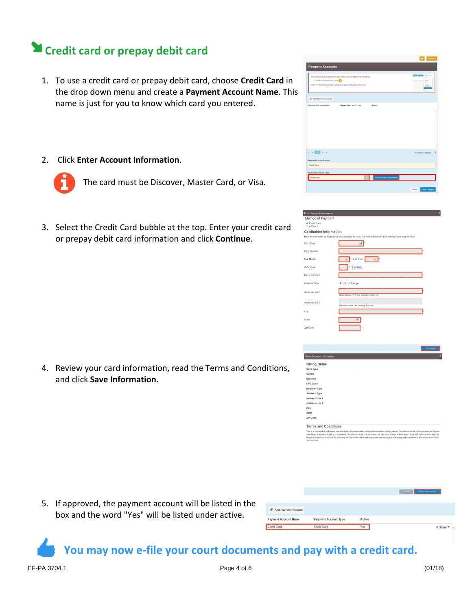## **Credit card or prepay debit card**

- 1. To use a credit card or prepay debit card, choose **Credit Card** in the drop down menu and create a **Payment Account Name**. This name is just for you to know which card you entered.
- 2. Click **Enter Account Information**.



The card must be Discover, Master Card, or Visa.

3. Select the Credit Card bubble at the top. Enter your credit card or prepay debit card information and click **Continue**.

4. Review your card information, read the Terms and Conditions, and click **Save Information**.

| · Add a Payment Account                           | You will be able to submit filings after you complete the following:<br>Click on the Actions Menu above to add a Payment Account. |        | <b>COMPANY AND INCOME.</b><br><b>Services</b><br><b><i><u>Tarribution</u></i></b><br><b>No Figure</b><br>Firinger<br><b>Exhibition</b> |
|---------------------------------------------------|-----------------------------------------------------------------------------------------------------------------------------------|--------|----------------------------------------------------------------------------------------------------------------------------------------|
| Add Payment Account                               |                                                                                                                                   |        |                                                                                                                                        |
| <b>Payment Account Name</b>                       | Payment Account Type                                                                                                              | Active |                                                                                                                                        |
|                                                   |                                                                                                                                   |        |                                                                                                                                        |
|                                                   |                                                                                                                                   |        |                                                                                                                                        |
| $H = 4$ .<br><br><br><br><br><br><br><br><br><br> |                                                                                                                                   |        | No items to display                                                                                                                    |
| Payment Account Name                              |                                                                                                                                   |        |                                                                                                                                        |
|                                                   |                                                                                                                                   |        |                                                                                                                                        |
| Credit Card<br>Payment Account Type               |                                                                                                                                   |        |                                                                                                                                        |

Action

| <b>Enter Account Information</b> |                                                                                                                               |  |
|----------------------------------|-------------------------------------------------------------------------------------------------------------------------------|--|
| Method of Payment                |                                                                                                                               |  |
| Credit Card<br>O e-Check         |                                                                                                                               |  |
| <b>Cardholder Information</b>    |                                                                                                                               |  |
|                                  | Enter the information as it appears on the Cardholder Account. The fields marked with a red asterisk (*) are required fields. |  |
| Card Type                        | $\checkmark$                                                                                                                  |  |
| Card Number                      |                                                                                                                               |  |
| Exp Month                        | Exp Year<br>$\boxed{\mathsf{v}}$<br>$\overline{\mathbf{v}}$                                                                   |  |
| CVV Code                         | CVV Help                                                                                                                      |  |
| Name on Card                     |                                                                                                                               |  |
| Address Type                     | ● US ○ Foreign                                                                                                                |  |
| Address Line 1                   | Street address, P.O. box, company name, c/o                                                                                   |  |
| Address Line 2                   | Apartment, suite, unit, building, floor, etc.                                                                                 |  |
| City                             |                                                                                                                               |  |
| State                            | $\overline{\mathbf{v}}$                                                                                                       |  |
| Zip Code                         |                                                                                                                               |  |
|                                  |                                                                                                                               |  |

| <b>Enter Account Information</b> |  |  |
|----------------------------------|--|--|
| <b>Billing Detail</b>            |  |  |
| Card Type                        |  |  |
| Card#                            |  |  |
| Exp Date                         |  |  |
| CVV Code                         |  |  |
| Name on Card                     |  |  |
| Address Type                     |  |  |
| Address Line 1                   |  |  |
| Address Line 2                   |  |  |
| City                             |  |  |
| State                            |  |  |
| ZIP Code                         |  |  |
| <b>Terms and Conditions</b>      |  |  |

5. If approved, the payment account will be listed in the box and the word "Yes" will be listed under active.

| Add Payment Account<br><b>Payment Account Name</b><br><b>Active</b><br>Payment Account Type<br>- |  |
|--------------------------------------------------------------------------------------------------|--|
|                                                                                                  |  |
|                                                                                                  |  |

**You may now e-file your court documents and pay with a credit card.**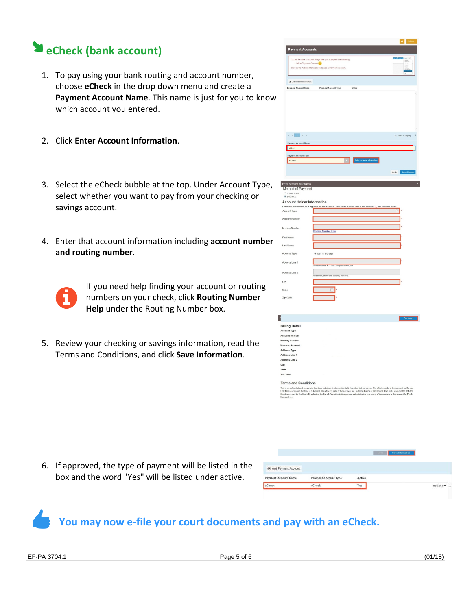# **eCheck (bank account)**

- 1. To pay using your bank routing and account number, choose **eCheck** in the drop down menu and create a **Payment Account Name**. This name is just for you to know which account you entered.
- 2. Click **Enter Account Information**.
- 3. Select the eCheck bubble at the top. Under Account Type, select whether you want to pay from your checking or savings account.
- 4. Enter that account information including **account number and routing number**.



If you need help finding your account or routing numbers on your check, click **Routing Number Help** under the Routing Number box.

5. Review your checking or savings information, read the Terms and Conditions, and click **Save Information**.



6. If approved, the type of payment will be listed in the box and the word "Yes" will be listed under active.

| <b>E</b> Add Payment Account |                      |        |  |                    |
|------------------------------|----------------------|--------|--|--------------------|
| Payment Account Name         | Payment Account Type | Active |  |                    |
| eCheck                       | eCheck               | Yes    |  | $Actions =$<br>--- |

## **You may now e-file your court documents and pay with an eCheck.**

 $rac{1}{2}$ ZIP Cod

**Terms and Conditions** 

.<br>Things is the date the filing is submitted. The effective date of the payment for Elect<br>is accepted by the Court. By selecting the Save Information button you are authors